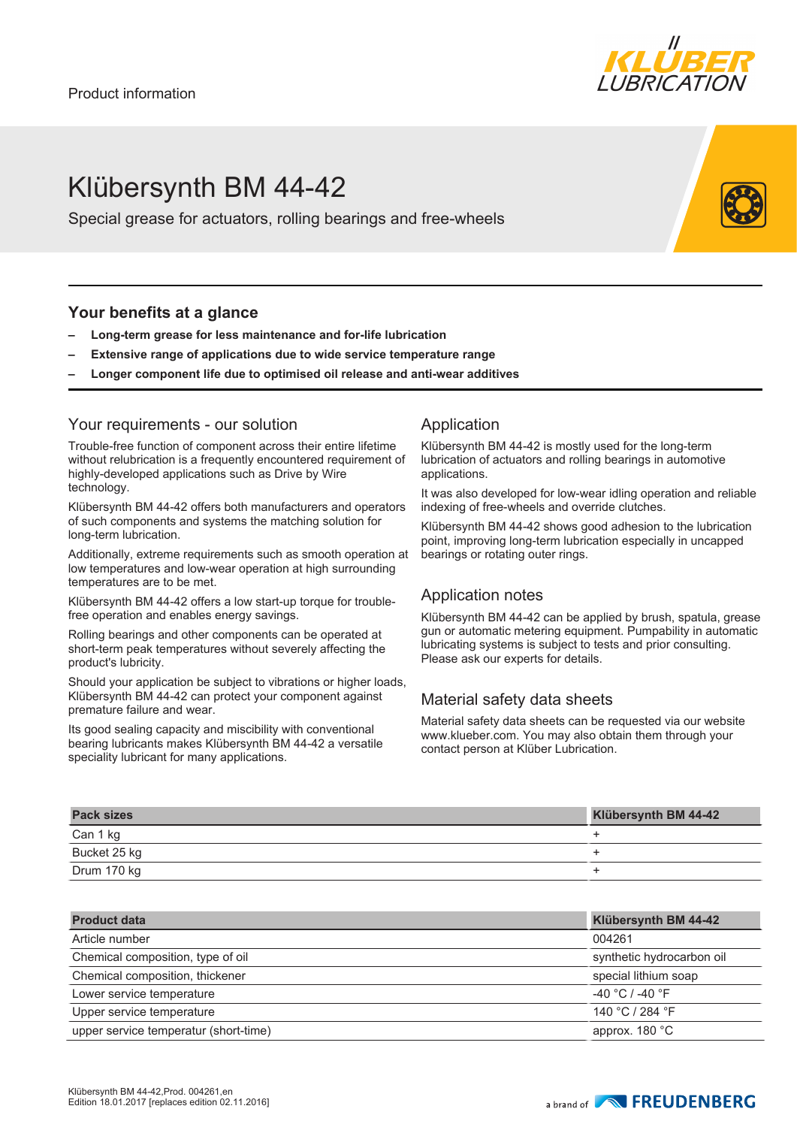

# Klübersynth BM 44-42

Special grease for actuators, rolling bearings and free-wheels

#### **Your benefits at a glance**

- **– Long-term grease for less maintenance and for-life lubrication**
- **– Extensive range of applications due to wide service temperature range**
- **– Longer component life due to optimised oil release and anti-wear additives**

#### Your requirements - our solution

Trouble-free function of component across their entire lifetime without relubrication is a frequently encountered requirement of highly-developed applications such as Drive by Wire technology.

Klübersynth BM 44-42 offers both manufacturers and operators of such components and systems the matching solution for long-term lubrication.

Additionally, extreme requirements such as smooth operation at low temperatures and low-wear operation at high surrounding temperatures are to be met.

Klübersynth BM 44-42 offers a low start-up torque for troublefree operation and enables energy savings.

Rolling bearings and other components can be operated at short-term peak temperatures without severely affecting the product's lubricity.

Should your application be subject to vibrations or higher loads, Klübersynth BM 44-42 can protect your component against premature failure and wear.

Its good sealing capacity and miscibility with conventional bearing lubricants makes Klübersynth BM 44-42 a versatile speciality lubricant for many applications.

#### Application

Klübersynth BM 44-42 is mostly used for the long-term lubrication of actuators and rolling bearings in automotive applications.

It was also developed for low-wear idling operation and reliable indexing of free-wheels and override clutches.

Klübersynth BM 44-42 shows good adhesion to the lubrication point, improving long-term lubrication especially in uncapped bearings or rotating outer rings.

## Application notes

Klübersynth BM 44-42 can be applied by brush, spatula, grease gun or automatic metering equipment. Pumpability in automatic lubricating systems is subject to tests and prior consulting. Please ask our experts for details.

## Material safety data sheets

Material safety data sheets can be requested via our website www.klueber.com. You may also obtain them through your contact person at Klüber Lubrication.

| <b>Pack sizes</b> | Klübersynth BM 44-42 |
|-------------------|----------------------|
| Can 1 kg          |                      |
| Bucket 25 kg      |                      |
| Drum 170 kg       |                      |

| <b>Product data</b>                   | Klübersynth BM 44-42      |
|---------------------------------------|---------------------------|
| Article number                        | 004261                    |
| Chemical composition, type of oil     | synthetic hydrocarbon oil |
| Chemical composition, thickener       | special lithium soap      |
| Lower service temperature             | $-40 °C$ / -40 $°F$       |
| Upper service temperature             | 140 °C / 284 °F           |
| upper service temperatur (short-time) | approx. $180 °C$          |